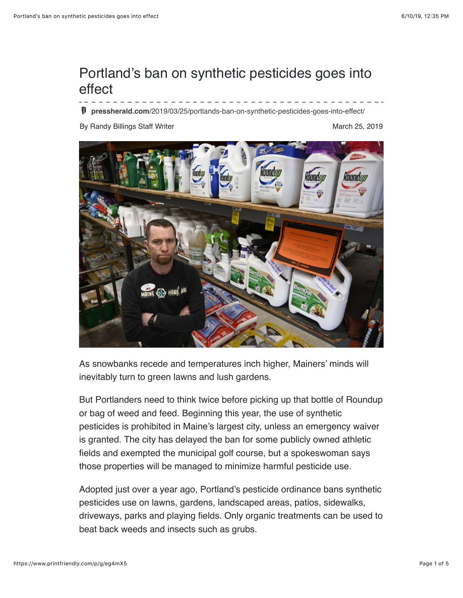## Portland's ban on synthetic pesticides goes into effect

**pressherald.com**[/2019/03/25/portlands-ban-on-synthetic-pesticides-goes-into-effect/](https://www.pressherald.com/2019/03/25/portlands-ban-on-synthetic-pesticides-goes-into-effect/)

By Randy Billings Staff Writer March 25, 2019



As snowbanks recede and temperatures inch higher, Mainers' minds will inevitably turn to green lawns and lush gardens.

But Portlanders need to think twice before picking up that bottle of Roundup or bag of weed and feed. Beginning this year, the use of synthetic pesticides is prohibited in Maine's largest city, unless an emergency waiver is granted. The city has delayed the ban for some publicly owned athletic fields and exempted the municipal golf course, but a spokeswoman says those properties will be managed to minimize harmful pesticide use.

Adopted just over a year ago, Portland's pesticide ordinance bans synthetic pesticides use on lawns, gardens, landscaped areas, patios, sidewalks, driveways, parks and playing fields. Only organic treatments can be used to beat back weeds and insects such as grubs.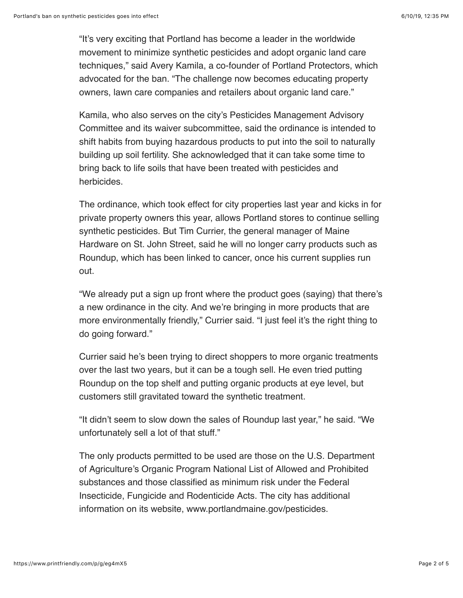"It's very exciting that Portland has become a leader in the worldwide movement to minimize synthetic pesticides and adopt organic land care techniques," said Avery Kamila, a co-founder of Portland Protectors, which advocated for the ban. "The challenge now becomes educating property owners, lawn care companies and retailers about organic land care."

Kamila, who also serves on the city's Pesticides Management Advisory Committee and its waiver subcommittee, said the ordinance is intended to shift habits from buying hazardous products to put into the soil to naturally building up soil fertility. She acknowledged that it can take some time to bring back to life soils that have been treated with pesticides and herbicides.

The ordinance, which took effect for city properties last year and kicks in for private property owners this year, allows Portland stores to continue selling synthetic pesticides. But Tim Currier, the general manager of Maine Hardware on St. John Street, said he will no longer carry products such as Roundup, which has been linked to cancer, once his current supplies run out.

"We already put a sign up front where the product goes (saying) that there's a new ordinance in the city. And we're bringing in more products that are more environmentally friendly," Currier said. "I just feel it's the right thing to do going forward."

Currier said he's been trying to direct shoppers to more organic treatments over the last two years, but it can be a tough sell. He even tried putting Roundup on the top shelf and putting organic products at eye level, but customers still gravitated toward the synthetic treatment.

"It didn't seem to slow down the sales of Roundup last year," he said. "We unfortunately sell a lot of that stuff."

The only products permitted to be used are those on the U.S. Department of Agriculture's Organic Program National List of Allowed and Prohibited substances and those classified as minimum risk under the Federal Insecticide, Fungicide and Rodenticide Acts. The city has additional information on its website, www.portlandmaine.gov/pesticides.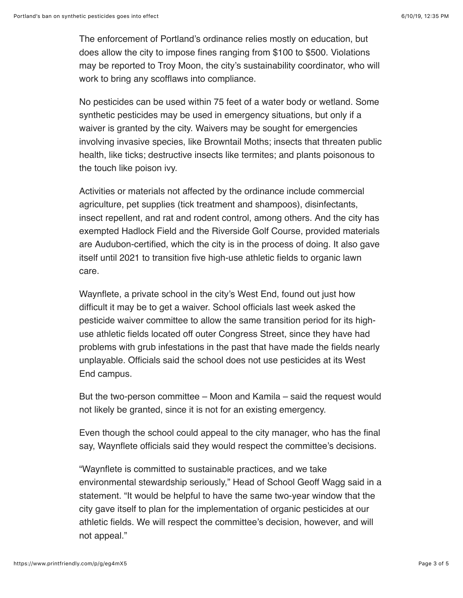The enforcement of Portland's ordinance relies mostly on education, but does allow the city to impose fines ranging from \$100 to \$500. Violations may be reported to Troy Moon, the city's sustainability coordinator, who will work to bring any scofflaws into compliance.

No pesticides can be used within 75 feet of a water body or wetland. Some synthetic pesticides may be used in emergency situations, but only if a waiver is granted by the city. Waivers may be sought for emergencies involving invasive species, like Browntail Moths; insects that threaten public health, like ticks; destructive insects like termites; and plants poisonous to the touch like poison ivy.

Activities or materials not affected by the ordinance include commercial agriculture, pet supplies (tick treatment and shampoos), disinfectants, insect repellent, and rat and rodent control, among others. And the city has exempted Hadlock Field and the Riverside Golf Course, provided materials are Audubon-certified, which the city is in the process of doing. It also gave itself until 2021 to transition five high-use athletic fields to organic lawn care.

Waynflete, a private school in the city's West End, found out just how difficult it may be to get a waiver. School officials last week asked the pesticide waiver committee to allow the same transition period for its highuse athletic fields located off outer Congress Street, since they have had problems with grub infestations in the past that have made the fields nearly unplayable. Officials said the school does not use pesticides at its West End campus.

But the two-person committee – Moon and Kamila – said the request would not likely be granted, since it is not for an existing emergency.

Even though the school could appeal to the city manager, who has the final say, Waynflete officials said they would respect the committee's decisions.

"Waynflete is committed to sustainable practices, and we take environmental stewardship seriously," Head of School Geoff Wagg said in a statement. "It would be helpful to have the same two-year window that the city gave itself to plan for the implementation of organic pesticides at our athletic fields. We will respect the committee's decision, however, and will not appeal."